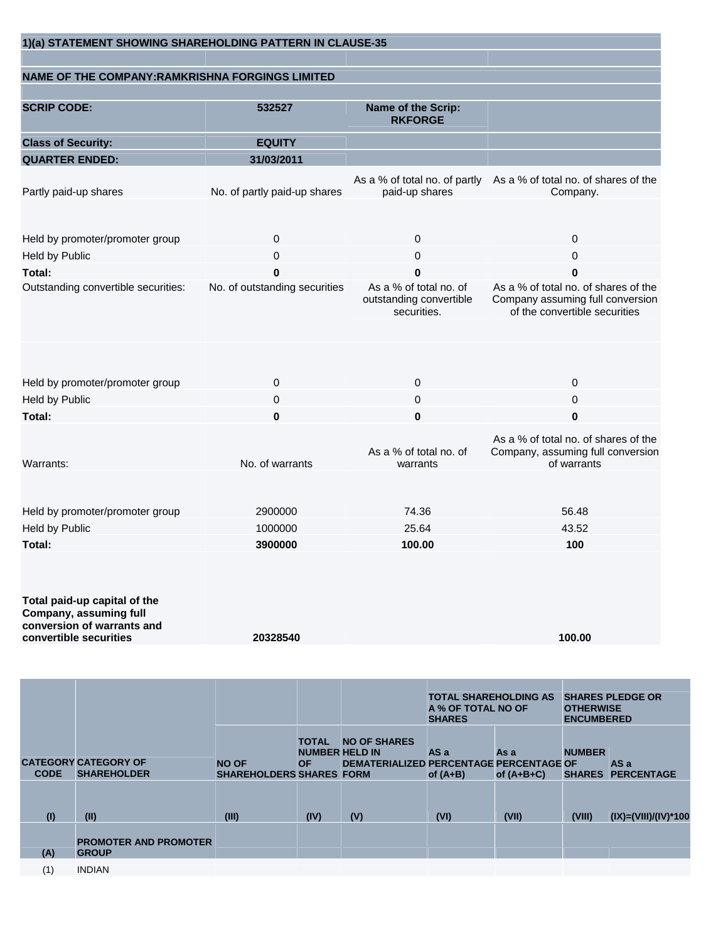| 1)(a) STATEMENT SHOWING SHAREHOLDING PATTERN IN CLAUSE-35                                                      |                               |                                                                  |                                                                                                           |
|----------------------------------------------------------------------------------------------------------------|-------------------------------|------------------------------------------------------------------|-----------------------------------------------------------------------------------------------------------|
| <b>NAME OF THE COMPANY: RAMKRISHNA FORGINGS LIMITED</b>                                                        |                               |                                                                  |                                                                                                           |
|                                                                                                                |                               |                                                                  |                                                                                                           |
| <b>SCRIP CODE:</b>                                                                                             | 532527                        | Name of the Scrip:<br><b>RKFORGE</b>                             |                                                                                                           |
| <b>Class of Security:</b>                                                                                      | <b>EQUITY</b>                 |                                                                  |                                                                                                           |
| <b>QUARTER ENDED:</b>                                                                                          | 31/03/2011                    |                                                                  |                                                                                                           |
| Partly paid-up shares                                                                                          | No. of partly paid-up shares  | paid-up shares                                                   | As a % of total no. of partly As a % of total no. of shares of the<br>Company.                            |
| Held by promoter/promoter group                                                                                | $\mathbf 0$                   | 0                                                                | $\mathbf 0$                                                                                               |
| Held by Public                                                                                                 | 0                             | 0                                                                | 0                                                                                                         |
| Total:                                                                                                         | 0                             | 0                                                                | 0                                                                                                         |
| Outstanding convertible securities:                                                                            | No. of outstanding securities | As a % of total no. of<br>outstanding convertible<br>securities. | As a % of total no. of shares of the<br>Company assuming full conversion<br>of the convertible securities |
| Held by promoter/promoter group                                                                                | $\mathbf 0$                   | $\mathbf 0$                                                      | $\mathbf 0$                                                                                               |
| Held by Public                                                                                                 | 0                             | $\pmb{0}$                                                        | 0                                                                                                         |
| Total:                                                                                                         | $\bf{0}$                      | 0                                                                | 0                                                                                                         |
| Warrants:                                                                                                      | No. of warrants               | As a % of total no. of<br>warrants                               | As a % of total no. of shares of the<br>Company, assuming full conversion<br>of warrants                  |
|                                                                                                                |                               |                                                                  |                                                                                                           |
| Held by promoter/promoter group                                                                                | 2900000                       | 74.36                                                            | 56.48                                                                                                     |
| Held by Public                                                                                                 | 1000000                       | 25.64                                                            | 43.52                                                                                                     |
| <b>Total:</b>                                                                                                  | 3900000                       | 100.00                                                           | 100                                                                                                       |
| Total paid-up capital of the<br>Company, assuming full<br>conversion of warrants and<br>convertible securities | 20328540                      |                                                                  | 100.00                                                                                                    |
|                                                                                                                |                               |                                                                  |                                                                                                           |
|                                                                                                                |                               | A % OF TOTAL NO OF<br><b>SHARES</b>                              | <b>SHARES PLEDGE OR</b><br><b>TOTAL SHAREHOLDING AS</b><br><b>OTHERWISE</b><br><b>ENCUMBERED</b>          |

|             |                                                   |                                                 |                                                    |                                                                       | A 70 YI 1 YIAL IYO YI<br><b>SHARES</b> |                      | ----------<br><b>ENCUMBERED</b> |                           |
|-------------|---------------------------------------------------|-------------------------------------------------|----------------------------------------------------|-----------------------------------------------------------------------|----------------------------------------|----------------------|---------------------------------|---------------------------|
| <b>CODE</b> | <b>CATEGORY CATEGORY OF</b><br><b>SHAREHOLDER</b> | <b>NO OF</b><br><b>SHAREHOLDERS SHARES FORM</b> | <b>TOTAL</b><br><b>NUMBER HELD IN</b><br><b>OF</b> | <b>NO OF SHARES</b><br><b>DEMATERIALIZED PERCENTAGE PERCENTAGE OF</b> | AS a<br>of $(A+B)$                     | As a<br>of $(A+B+C)$ | <b>NUMBER</b><br><b>SHARES</b>  | AS a<br><b>PERCENTAGE</b> |
| (1)         | (II)                                              | (III)                                           | (IV)                                               | (V)                                                                   | (VI)                                   | (VII)                | (VIII)                          | $(IX)=(VIII)/(IV)*100$    |
| (A)         | <b>PROMOTER AND PROMOTER</b><br><b>GROUP</b>      |                                                 |                                                    |                                                                       |                                        |                      |                                 |                           |
| (1)         | <b>INDIAN</b>                                     |                                                 |                                                    |                                                                       |                                        |                      |                                 |                           |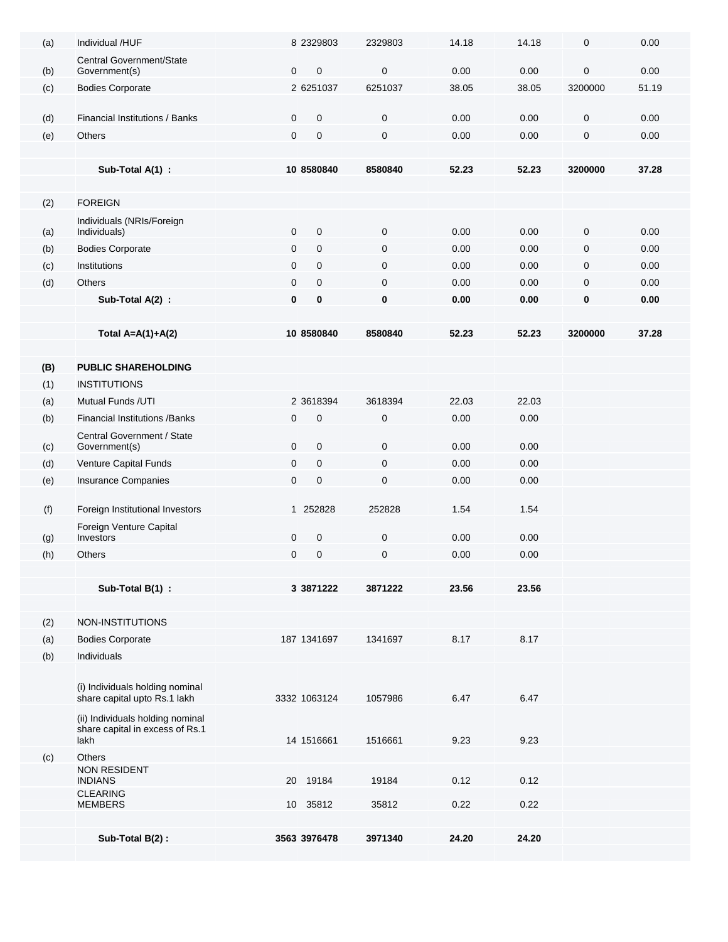| (a) | Individual /HUF                           |              | 8 2329803                   | 2329803                | 14.18         | 14.18         | $\pmb{0}$              | 0.00  |
|-----|-------------------------------------------|--------------|-----------------------------|------------------------|---------------|---------------|------------------------|-------|
|     | Central Government/State                  |              |                             |                        |               |               |                        |       |
| (b) | Government(s)                             | $\mathbf{0}$ | $\overline{0}$<br>2 6251037 | $\mathbf 0$<br>6251037 | 0.00          | 0.00          | $\mathbf 0$<br>3200000 | 0.00  |
| (c) | <b>Bodies Corporate</b>                   |              |                             |                        | 38.05         | 38.05         |                        | 51.19 |
| (d) | Financial Institutions / Banks            | 0            | $\mathbf 0$                 | $\pmb{0}$              | 0.00          | 0.00          | $\mathbf 0$            | 0.00  |
| (e) | <b>Others</b>                             | 0            | $\pmb{0}$                   | $\mathbf 0$            | 0.00          | 0.00          | $\pmb{0}$              | 0.00  |
|     |                                           |              |                             |                        |               |               |                        |       |
|     | Sub-Total A(1) :                          |              | 10 8580840                  | 8580840                | 52.23         | 52.23         | 3200000                | 37.28 |
|     |                                           |              |                             |                        |               |               |                        |       |
| (2) | <b>FOREIGN</b>                            |              |                             |                        |               |               |                        |       |
| (a) | Individuals (NRIs/Foreign<br>Individuals) | $\mathbf 0$  | $\mathbf 0$                 | $\mathbf 0$            | 0.00          | 0.00          | $\mathbf 0$            | 0.00  |
| (b) | <b>Bodies Corporate</b>                   | 0            | $\mathbf{0}$                | $\mathbf 0$            | 0.00          | 0.00          | $\mathbf 0$            | 0.00  |
| (c) | Institutions                              | $\mathbf{0}$ | $\mathbf{0}$                | $\mathbf 0$            | 0.00          | 0.00          | $\mathbf 0$            | 0.00  |
| (d) | Others                                    | 0            | $\mathbf 0$                 | $\mathbf 0$            | 0.00          | 0.00          | $\mathbf 0$            | 0.00  |
|     | Sub-Total A(2) :                          | 0            | $\bf{0}$                    | 0                      | 0.00          | 0.00          | 0                      | 0.00  |
|     |                                           |              |                             |                        |               |               |                        |       |
|     | Total $A=A(1)+A(2)$                       |              | 10 8580840                  | 8580840                | 52.23         | 52.23         | 3200000                | 37.28 |
|     |                                           |              |                             |                        |               |               |                        |       |
| (B) | <b>PUBLIC SHAREHOLDING</b>                |              |                             |                        |               |               |                        |       |
| (1) | <b>INSTITUTIONS</b><br>Mutual Funds /UTI  |              |                             |                        |               |               |                        |       |
| (a) | <b>Financial Institutions / Banks</b>     | 0            | 2 3618394<br>$\mathbf 0$    | 3618394<br>$\pmb{0}$   | 22.03<br>0.00 | 22.03<br>0.00 |                        |       |
| (b) | Central Government / State                |              |                             |                        |               |               |                        |       |
| (c) | Government(s)                             | 0            | $\mathbf 0$                 | $\mathbf 0$            | 0.00          | 0.00          |                        |       |
| (d) | Venture Capital Funds                     | 0            | $\mathbf 0$                 | 0                      | 0.00          | 0.00          |                        |       |
| (e) | Insurance Companies                       | 0            | $\mathbf 0$                 | $\mathbf 0$            | 0.00          | 0.00          |                        |       |
|     |                                           |              |                             |                        |               |               |                        |       |
| (f) | Foreign Institutional Investors           |              | 1 252828                    | 252828                 | 1.54          | 1.54          |                        |       |
| (g) | Foreign Venture Capital<br>Investors      | 0            | $\mathbf 0$                 | $\mathbf 0$            | 0.00          | 0.00          |                        |       |
| (h) | <b>Others</b>                             | 0            | $\mathbf 0$                 | 0                      | 0.00          | 0.00          |                        |       |
|     |                                           |              |                             |                        |               |               |                        |       |
|     | Sub-Total B(1) :                          |              | 3 3871222                   | 3871222                | 23.56         | 23.56         |                        |       |
|     |                                           |              |                             |                        |               |               |                        |       |
| (2) | NON-INSTITUTIONS                          |              |                             |                        |               |               |                        |       |
| (a) | <b>Bodies Corporate</b>                   |              | 187 1341697                 | 1341697                | 8.17          | 8.17          |                        |       |
| (b) | Individuals                               |              |                             |                        |               |               |                        |       |
|     | (i) Individuals holding nominal           |              |                             |                        |               |               |                        |       |
|     | share capital upto Rs.1 lakh              |              | 3332 1063124                | 1057986                | 6.47          | 6.47          |                        |       |
|     | (ii) Individuals holding nominal          |              |                             |                        |               |               |                        |       |
|     | share capital in excess of Rs.1<br>lakh   |              | 14 1516661                  | 1516661                | 9.23          | 9.23          |                        |       |
| (c) | Others                                    |              |                             |                        |               |               |                        |       |
|     | NON RESIDENT<br><b>INDIANS</b>            | 20           | 19184                       | 19184                  | 0.12          | 0.12          |                        |       |
|     | <b>CLEARING</b><br><b>MEMBERS</b>         |              | 10 35812                    | 35812                  | 0.22          | 0.22          |                        |       |
|     |                                           |              |                             |                        |               |               |                        |       |
|     | Sub-Total B(2):                           |              | 3563 3976478                | 3971340                | 24.20         | 24.20         |                        |       |
|     |                                           |              |                             |                        |               |               |                        |       |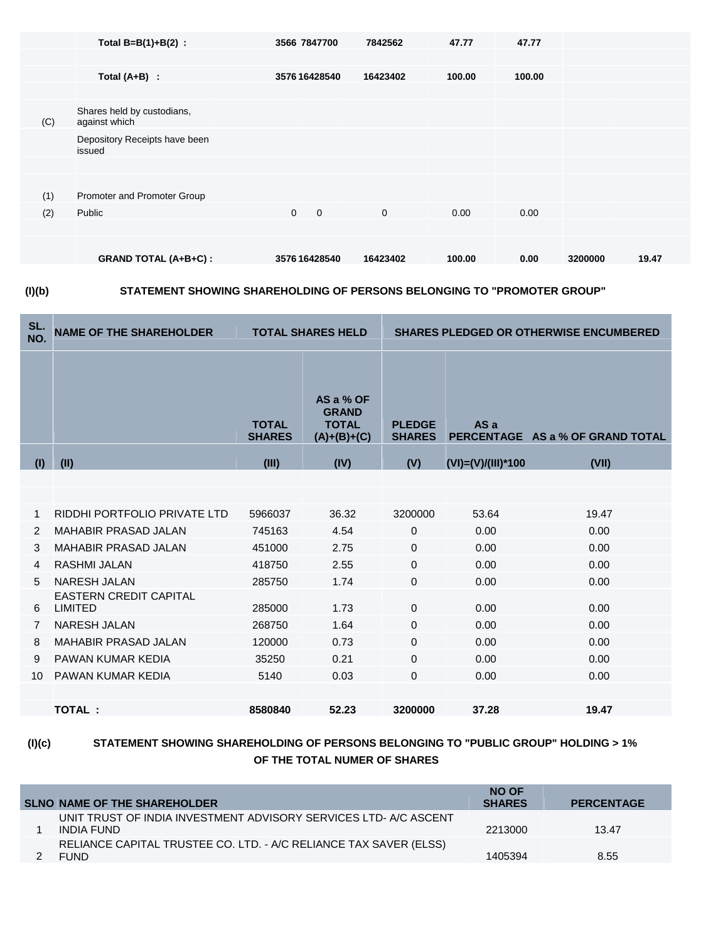|     | Total $B=B(1)+B(2)$ :                       | 3566 7847700               | 7842562     | 47.77  | 47.77  |         |       |
|-----|---------------------------------------------|----------------------------|-------------|--------|--------|---------|-------|
|     |                                             |                            |             |        |        |         |       |
|     | Total $(A+B)$ :                             | 3576 16428540              | 16423402    | 100.00 | 100.00 |         |       |
|     |                                             |                            |             |        |        |         |       |
| (C) | Shares held by custodians,<br>against which |                            |             |        |        |         |       |
|     | Depository Receipts have been<br>issued     |                            |             |        |        |         |       |
|     |                                             |                            |             |        |        |         |       |
|     |                                             |                            |             |        |        |         |       |
| (1) | Promoter and Promoter Group                 |                            |             |        |        |         |       |
| (2) | Public                                      | $\mathbf 0$<br>$\mathbf 0$ | $\mathbf 0$ | 0.00   | 0.00   |         |       |
|     |                                             |                            |             |        |        |         |       |
|     | <b>GRAND TOTAL (A+B+C):</b>                 | 3576 16428540              | 16423402    | 100.00 | 0.00   | 3200000 | 19.47 |
|     |                                             |                            |             |        |        |         |       |



**(I)(b) STATEMENT SHOWING SHAREHOLDING OF PERSONS BELONGING TO "PROMOTER GROUP"**

| SL.<br>NO. | <b>NAME OF THE SHAREHOLDER</b>           | <b>TOTAL SHARES HELD</b>      |                                                            | <b>SHARES PLEDGED OR OTHERWISE ENCUMBERED</b> |                    |                                  |  |
|------------|------------------------------------------|-------------------------------|------------------------------------------------------------|-----------------------------------------------|--------------------|----------------------------------|--|
|            |                                          | <b>TOTAL</b><br><b>SHARES</b> | AS a % OF<br><b>GRAND</b><br><b>TOTAL</b><br>$(A)+(B)+(C)$ | <b>PLEDGE</b><br><b>SHARES</b>                | AS a               | PERCENTAGE AS a % OF GRAND TOTAL |  |
| (I)        | (II)                                     | (III)                         | (IV)                                                       | (V)                                           | (VI)=(V)/(III)*100 | (VII)                            |  |
|            |                                          |                               |                                                            |                                               |                    |                                  |  |
|            |                                          |                               |                                                            |                                               |                    |                                  |  |
| 1          | RIDDHI PORTFOLIO PRIVATE LTD             | 5966037                       | 36.32                                                      | 3200000                                       | 53.64              | 19.47                            |  |
| 2          | <b>MAHABIR PRASAD JALAN</b>              | 745163                        | 4.54                                                       | $\mathbf{0}$                                  | 0.00               | 0.00                             |  |
| 3          | <b>MAHABIR PRASAD JALAN</b>              | 451000                        | 2.75                                                       | $\Omega$                                      | 0.00               | 0.00                             |  |
| 4          | <b>RASHMI JALAN</b>                      | 418750                        | 2.55                                                       | $\Omega$                                      | 0.00               | 0.00                             |  |
| 5          | <b>NARESH JALAN</b>                      | 285750                        | 1.74                                                       | $\Omega$                                      | 0.00               | 0.00                             |  |
| 6          | <b>EASTERN CREDIT CAPITAL</b><br>LIMITED | 285000                        | 1.73                                                       | $\Omega$                                      | 0.00               | 0.00                             |  |
| 7          | <b>NARESH JALAN</b>                      | 268750                        | 1.64                                                       | $\Omega$                                      | 0.00               | 0.00                             |  |
| 8          | <b>MAHABIR PRASAD JALAN</b>              | 120000                        | 0.73                                                       | $\Omega$                                      | 0.00               | 0.00                             |  |
| 9          | PAWAN KUMAR KEDIA                        | 35250                         | 0.21                                                       | $\Omega$                                      | 0.00               | 0.00                             |  |
| 10         | PAWAN KUMAR KEDIA                        | 5140                          | 0.03                                                       | $\mathbf 0$                                   | 0.00               | 0.00                             |  |
|            |                                          |                               |                                                            |                                               |                    |                                  |  |
|            | <b>TOTAL:</b>                            | 8580840                       | 52.23                                                      | 3200000                                       | 37.28              | 19.47                            |  |
|            |                                          |                               |                                                            |                                               |                    |                                  |  |

## **(I)(c) STATEMENT SHOWING SHAREHOLDING OF PERSONS BELONGING TO "PUBLIC GROUP" HOLDING > 1% OF THE TOTAL NUMER OF SHARES**

| <b>SLNO NAME OF THE SHAREHOLDER</b>                                              | <b>NO OF</b><br><b>SHARES</b> | <b>PERCENTAGE</b> |
|----------------------------------------------------------------------------------|-------------------------------|-------------------|
| UNIT TRUST OF INDIA INVESTMENT ADVISORY SERVICES LTD- A/C ASCENT<br>INDIA FUND   | 2213000                       | 13.47             |
| RELIANCE CAPITAL TRUSTEE CO. LTD. - A/C RELIANCE TAX SAVER (ELSS)<br><b>FUND</b> | 1405394                       | 8.55              |